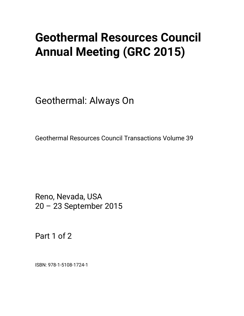# **Geothermal Resources Council Annual Meeting (GRC 2015)**

Geothermal: Always On

Geothermal Resources Council Transactions Volume 39

Reno, Nevada, USA 20 – 23 September 2015

Part 1 of 2

ISBN: 978-1-5108-1724-1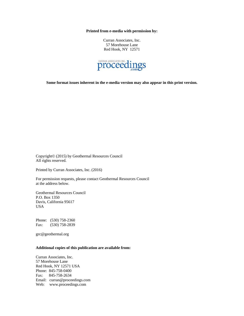**Printed from e-media with permission by:** 

Curran Associates, Inc. 57 Morehouse Lane Red Hook, NY 12571



**Some format issues inherent in the e-media version may also appear in this print version.** 

Copyright© (2015) by Geothermal Resources Council All rights reserved.

Printed by Curran Associates, Inc. (2016)

For permission requests, please contact Geothermal Resources Council at the address below.

Geothermal Resources Council P.O. Box 1350 Davis, California 95617 USA

Phone: (530) 758-2360 Fax: (530) 758-2839

grc@geothermal.org

#### **Additional copies of this publication are available from:**

Curran Associates, Inc. 57 Morehouse Lane Red Hook, NY 12571 USA Phone: 845-758-0400 Fax: 845-758-2634 Email: curran@proceedings.com Web: www.proceedings.com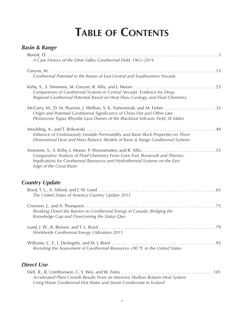## **Table of Contents**

| <b>Basin &amp; Range</b>                                                                                                                                                                                                                 |  |
|------------------------------------------------------------------------------------------------------------------------------------------------------------------------------------------------------------------------------------------|--|
| A Case History of the Dixie Valley Geothermal Field, 1963-2014                                                                                                                                                                           |  |
| Geothermal Potential in the Basins of East-Central and Southeastern Nevada                                                                                                                                                               |  |
| Comparisons of Geothermal Systems in Central Nevada: Evidence for Deep<br>Regional Geothermal Potential Based on Heat Flow, Geology, and Fluid Chemistry                                                                                 |  |
| McCurry, M., D. M. Pearson, J. Welhan, S. K. Natwotniak, and M. Fisher 35<br>Origin and Potential Geothermal Significance of China Hat and Other Late<br>Pleistocene Topaz Rhyolite Lava Domes of the Blackfoot Volcanic Field, SE Idaho |  |
| Influence of Continuously Variable Permeability and Basin Rock Properties on Three<br>Dimensional Heat and Mass Balance Models of Basin & Range Geothermal Systems                                                                       |  |
| Comparative Analysis of Fluid Chemistry From Cove Fort, Roosevelt and Thermo:<br>Implications for Geothermal Resources and Hydrothermal Systems on the East<br>Edge of the Great Basin                                                   |  |
| <b>Country Update</b>                                                                                                                                                                                                                    |  |
| The United States of America Country Update 2015                                                                                                                                                                                         |  |
|                                                                                                                                                                                                                                          |  |

Lund, J. W., R. Bertani, and T. L. Boyd. . 79 *Worldwide Geothermal Energy Utilization 2015*

*Breaking Down the Barriers to Geothermal Energy in Canada: Bridging the* 

*Knowledge Gap and Overcoming the Status Quo*

Williams, C. F., J. DeAngelo, and M. J. Reed. . 93 *Revisiting the Assessment of Geothermal Resources <90 ºC in the United States*

#### *Direct Use*

| Accelerated Plant Growth Results From an Intensive Shallow Bottom Heat System |  |
|-------------------------------------------------------------------------------|--|
| Using Waste Geothermal Hot Water and Steam Condensate in Iceland              |  |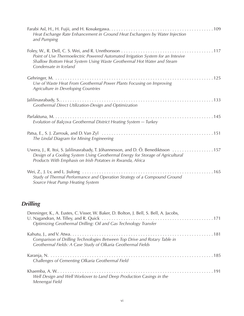| Heat Exchange Rate Enhancement in Ground Heat Exchangers by Water Injection<br>and Pumping                                                                                                                                         |
|------------------------------------------------------------------------------------------------------------------------------------------------------------------------------------------------------------------------------------|
| Point of Use Thermoelectric Powered Automated Irrigation System for an Intesive<br>Shallow Bottom Heat System Using Waste Geothermal Hot Water and Steam<br>Condensate in Iceland                                                  |
| Use of Waste Heat From Geothermal Power Plants Focusing on Improving<br>Agriculture in Developing Countries                                                                                                                        |
| Geothermal Direct Utilization-Design and Optimization                                                                                                                                                                              |
| Evolution of Balçova Geothermal District Heating System - Turkey                                                                                                                                                                   |
| The Lindal Diagram for Mining Engineering                                                                                                                                                                                          |
| Uwera, J., R. Itoi, S. Jalilinasrabady, T. Jóhannesson, and D. Ö. Benediktsson 157<br>Design of a Cooling System Using Geothermal Energy for Storage of Agricultural<br>Products With Emphasis on Irish Potatoes in Rwanda, Africa |
| Study of Thermal Performance and Operation Strategy of a Compound Ground<br>Source Heat Pump Heating System                                                                                                                        |

### *Drilling*

| Denninger, K., A. Eustes, C. Visser, W. Baker, D. Bolton, J. Bell, S. Bell, A. Jacobs,<br>Optimizing Geothermal Drilling: Oil and Gas Technology Transfer |
|-----------------------------------------------------------------------------------------------------------------------------------------------------------|
| Comparison of Drilling Technologies Between Top Drive and Rotary Table in<br>Geothermal Fields: A Case Study of Olkaria Geothermal Fields                 |
| Challenges of Cementing Olkaria Geothermal Field                                                                                                          |
| Well Design and Well Workover to Land Deep Production Casings in the<br>Menengai Field                                                                    |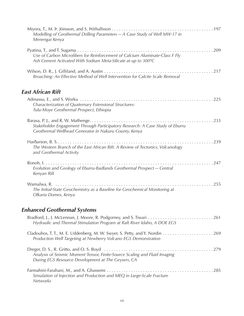| Modelling of Geothermal Drilling Parameters - A Case Study of Well MW-17 in<br>Menengai Kenya                                                 |
|-----------------------------------------------------------------------------------------------------------------------------------------------|
| Use of Carbon Microfibers for Reinforcement of Calcium Aluminate-Class F Fly<br>Ash Cement Activated With Sodium Meta-Silicate at up to 300°C |
| Broaching: An Effective Method of Well Intervention for Calcite Scale Removal                                                                 |
| <b>East African Rift</b>                                                                                                                      |
| Characterization of Quaternary Extensional Structures:<br>Tulu-Moye Geothermal Prospect, Ethiopia                                             |
| Stakeholder Engagement Through Participatory Research: A Case Study of Eburru<br>Geothermal Wellhead Generator in Nakuru County, Kenya        |
| The Western Branch of the East African Rift: A Review of Tectonics, Volcanology<br>and Geothermal Activity                                    |
| Evolution and Geology of Eburru-Badlands Geothermal Prospect - Central<br>Kenyan Rift                                                         |
| The Initial-State Geochemistry as a Baseline for Geochemical Monitoring at<br>Olkaria Domes, Kenya                                            |
| <b>Enhanced Geothermal Systems</b>                                                                                                            |

| Hydraulic and Thermal Stimulation Program at Raft River Idaho, A DOE EGS                                                         |  |
|----------------------------------------------------------------------------------------------------------------------------------|--|
| Production Well Targeting at Newberry Volcano EGS Demonstration                                                                  |  |
| Analysis of Seismic Moment Tensor, Finite-Source Scaling and Fluid Imaging<br>During EGS Resource Development at The Geysers, CA |  |
| Simulation of Injection and Production and MEQ in Large-Scale Fracture<br><b>Networks</b>                                        |  |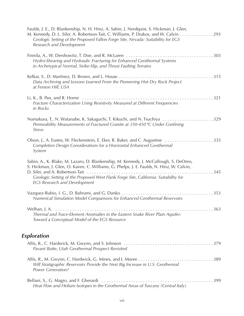| Faulds, J. E., D. Blankenship, N. H. Hinz, A. Sabin, J. Nordquist, S. Hickman, J. Glen,<br>M. Kennedy, D. L. Siler, A. Robertson-Tait, C. Williams, P. Drakos, and W. Calvin 293<br>Geologic Setting of the Proposed Fallon Forge Site, Nevada: Suitability for EGS<br>Research and Development                        |
|------------------------------------------------------------------------------------------------------------------------------------------------------------------------------------------------------------------------------------------------------------------------------------------------------------------------|
| Hydro-Shearing and Hydraulic Fracturing for Enhanced Geothermal Systems<br>in Archetypical Normal, Strike-Slip, and Thrust Faulting Terrains                                                                                                                                                                           |
| Data Archiving and Lessons Learned From the Pioneering Hot Dry Rock Project<br>at Fenton Hill, USA                                                                                                                                                                                                                     |
| Fracture Characterization Using Resistivity Measured at Different Frequencies<br>in Rocks                                                                                                                                                                                                                              |
| Numakura, T., N. Watanabe, K. Sakaguchi, T. Kikuchi, and N. Tsuchiya 329<br>Permeability Measurements of Fractured Granite at 350-450 °C Under Confining<br><b>Stress</b>                                                                                                                                              |
| Olson, J., A. Eustes, W. Fleckenstein, E. Eker, R. Baker, and C. Augustine 335<br>Completion Design Considerations for a Horizontal Enhanced Geothermal<br>System                                                                                                                                                      |
| Sabin, A., K. Blake, M. Lazaro, D. Blankenship, M. Kennedy, J. McCullough, S. DeOreo,<br>S. Hickman, J. Glen, O. Kaven, C. Williams, G. Phelps, J. E. Faulds, N. Hinz, W. Calvin,<br>345<br>Geologic Setting of the Proposed West Flank Forge Site, California: Suitability for<br><b>EGS Research and Development</b> |
| Numerical Simulation Model Comparisons for Enhanced Geothermal Reservoirs                                                                                                                                                                                                                                              |
| Thermal and Trace-Element Anomalies in the Eastern Snake River Plain Aquifer:<br>Toward a Conceptual Model of the EGS Resource                                                                                                                                                                                         |
| <b>Exploration</b>                                                                                                                                                                                                                                                                                                     |
| Pavant Butte, Utah Geothermal Prospect Revisited                                                                                                                                                                                                                                                                       |
| Will Stratigraphic Reservoirs Provide the Next Big Increase in U.S. Geothermal<br><b>Power Generation?</b>                                                                                                                                                                                                             |
| Heat Flow and Helium Isotopes in the Geothermal Areas of Tuscany (Central Italy)                                                                                                                                                                                                                                       |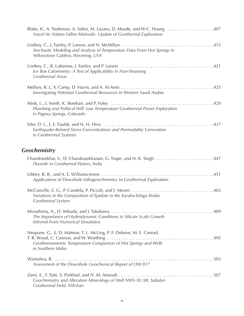| Blake, K., A. Tiedeman, A. Sabin, M. Lazaro, D. Meade, and W-C. Huang 407<br>Naval Air Station Fallon Mainside: Update of Geothermal Exploration              |
|---------------------------------------------------------------------------------------------------------------------------------------------------------------|
| Stochastic Modeling and Analysis of Temperature Data From Hot Springs in<br>Yellowstone Caldera, Wyoming, USA                                                 |
| Ice Box Calorimetry: A Test of Applicability in Non-Steaming<br>Geothermal Areas                                                                              |
| Investigating Potential Geothermal Resources in Western Saudi Arabia                                                                                          |
| Plumbing and Political Will: Low Temperature Geothermal Power Exploration<br>in Pagosa Springs, Colorado                                                      |
| Earthquake-Related Stress Concentrations and Permeability Generation<br>in Geothermal Systems                                                                 |
| <b>Geochemistry</b>                                                                                                                                           |
| Fluoride in Geothermal Waters, India                                                                                                                          |
| Applications of Downhole Lithogeochemistry to Geothermal Exploration                                                                                          |
| Variations in the Composition of Epidote in the Karaha-Telaga Bodas<br>Geothermal System                                                                      |
| The Importance of Hydrodynamic Conditions in Silicate Scale Growth<br><b>Inferred From Numerical Simulation</b>                                               |
| Neupane, G., E. D. Mattson, T. L. McLing, P. F. Dobson, M. E. Conrad,<br>Geothermometric Temperature Comparison of Hot Springs and Wells<br>in Southern Idaho |
| Assessment of the Downhole Geochemical Report of OW-917                                                                                                       |
|                                                                                                                                                               |

*Geothermal Field, NW-Iran*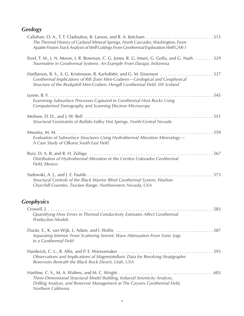#### *Geology*

| The Thermal History of Garland Mineral Springs, North Cascades, Washington, From<br>Apatite Fission Track Analysis of Well Cuttings From Geothermal Exploration Well GAR-1                              |
|---------------------------------------------------------------------------------------------------------------------------------------------------------------------------------------------------------|
| Etzel, T. M., J. N. Moore, J. R. Bowman, C. G. Jones, R. G. Intani, G. Golla, and G. Nash 529<br>Tourmaline in Geothermal Systems: An Example From Darajat, Indonesia                                   |
| Geothermal Implications of Rift Zone Mini-Grabens-Geological and Geophysical<br>Structure of the Reykjafell Mini-Graben, Hengill Geothermal Field, SW Iceland                                           |
| Examining Subsurface Processes Captured in Geothermal Host Rocks Using<br>Computerised Tomography and Scanning Electron Microscopy                                                                      |
| Structural Constraints of Buffalo Valley Hot Springs, North-Central Nevada                                                                                                                              |
| Evaluation of Subsurface Structures Using Hydrothermal Alteration Mineralogy -<br>A Case Study of Olkaria South East Field                                                                              |
| Distribution of Hydrothermal Alteration in the Cerritos Colorados Geothermal<br>Field, Mexico                                                                                                           |
| 573<br>Sadowski, A. J., and J. E. Faulds $\dots \dots$<br>.<br>Structural Controls of the Black Warrior Blind Geothermal System, Washoe-<br>Churchill Counties, Truckee Range, Northwestern Nevada, USA |
| <b>Geophysics</b>                                                                                                                                                                                       |
| Quantifying How Errors in Thermal Conductivity Estimates Affect Geothermal<br><b>Production Models</b>                                                                                                  |
| Separating Intrinsic From Scattering Seismic Wave Attenuation From Sonic Logs<br>in a Geothermal Field                                                                                                  |
| Observations and Implications of Magnetotelluric Data for Resolving Stratigraphic<br>Reservoirs Beneath the Black Rock Desert, Utah, USA                                                                |
| Three-Dimensional Structural Model Building, Induced Seismicity Analysis,<br>Drilling Analysis, and Reservoir Management at The Geysers Geothermal Field,<br>Northern California                        |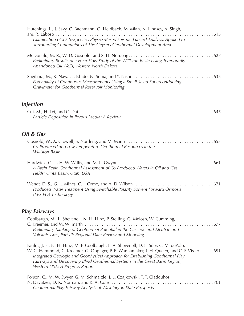| Hutchings, L., J. Savy, C. Bachmann, O. Heidbach, M. Miah, N. Lindsey, A. Singh,                                                                                                                                                                                                                                                                        |
|---------------------------------------------------------------------------------------------------------------------------------------------------------------------------------------------------------------------------------------------------------------------------------------------------------------------------------------------------------|
| . 615<br>Examination of a Site-Specific, Physics-Based Seismic Hazard Analysis, Applied to<br>Surrounding Communities of The Geysers Geothermal Development Area                                                                                                                                                                                        |
| Preliminary Results of a Heat Flow Study of the Williston Basin Using Temporarily<br>Abandoned Oil Wells, Western North Dakota                                                                                                                                                                                                                          |
| Potentiality of Continuous Measurements Using a Small-Sized Superconducting<br><b>Gravimeter for Geothermal Reservoir Monitoring</b>                                                                                                                                                                                                                    |
| <b>Injection</b>                                                                                                                                                                                                                                                                                                                                        |
| Particle Deposition in Porous Media: A Review                                                                                                                                                                                                                                                                                                           |
| Oil & Gas                                                                                                                                                                                                                                                                                                                                               |
| Co-Produced and Low-Temperature Geothermal Resources in the<br><b>Williston Basin</b>                                                                                                                                                                                                                                                                   |
| A Basin-Scale Geothermal Assessment of Co-Produced Waters in Oil and Gas<br>Fields: Uinta Basin, Utah, USA                                                                                                                                                                                                                                              |
| Produced Water Treatment Using Switchable Polarity Solvent Forward Osmosis<br>(SPS FO) Technology                                                                                                                                                                                                                                                       |
| <b>Play Fairways</b>                                                                                                                                                                                                                                                                                                                                    |
| Coolbaugh, M., L. Shevenell, N. H. Hinz, P. Stelling, G. Melosh, W. Cumming,<br>Preliminary Ranking of Geothermal Potential in the Cascade and Aleutian and<br>Volcanic Arcs, Part III: Regional Data Review and Modeling                                                                                                                               |
| Faulds, J. E., N. H. Hinz, M. F. Coolbaugh, L. A. Shevenell, D. L. Siler, C. M. dePolo,<br>W. C. Hammond, C. Kreemer, G. Oppliger, P. E. Wannamaker, J. H. Queen, and C. F. Visser 691<br>Integrated Geologic and Geophysical Approach for Establishing Geothermal Play<br>Fairways and Discovering Blind Geothermal Systems in the Great Basin Region, |

*Western USA: A Progress Report*

| Forson, C., M. W. Swyer, G. M. Schmalzle, J. L. Czajkowski, T. T. Cladouhos, |  |
|------------------------------------------------------------------------------|--|
|                                                                              |  |
| Geothermal Play-Fairway Analysis of Washington State Prospects               |  |
|                                                                              |  |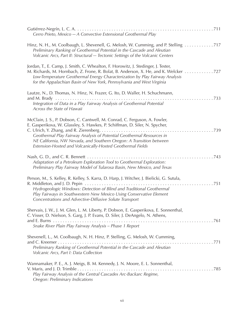| Cerro Prieto, Mexico - A Convective Extensional Geothermal Play                                                                                                                                                                                                                                                                                                         |
|-------------------------------------------------------------------------------------------------------------------------------------------------------------------------------------------------------------------------------------------------------------------------------------------------------------------------------------------------------------------------|
| Hinz, N. H., M. Coolbaugh, L. Shevenell, G. Melosh, W. Cumming, and P. Stelling 717<br>Preliminary Ranking of Geothermal Potential in the Cascade and Aleutian<br>Volcanic Arcs, Part II: Structural - Tectonic Settings of the Volcanic Centers                                                                                                                        |
| Jordan, T., E. Camp, J. Smith, C. Whealton, F. Horowitz, J. Stedinger, J. Tester,<br>M. Richards, M. Hornbach, Z. Frone, R. Bolat, B. Anderson, X. He, and K. Welcker 727<br>Low-Temperature Geothermal Energy Characterization by Play Fairway Analysis<br>for the Appalachian Basin of New York, Pennsylvania and West Virginia                                       |
| Lautze, N., D. Thomas, N. Hinz, N. Frazer, G. Ito, D. Waller, H. Schuchmann,<br>Integration of Data in a Play Fairway Analysis of Geothermal Potential<br>Across the State of Hawaii                                                                                                                                                                                    |
| McClain, J. S., P. Dobson, C. Cantwell, M. Conrad, C. Ferguson, A. Fowler,<br>E. Gasperikova, W. Glassley, S. Hawkes, P. Schiffman, D. Siler, N. Spycher,<br>Geothermal Play Fairway Analysis of Potential Geothermal Resources in<br>NE California, NW Nevada, and Southern Oregon: A Transition between<br>Extension-Hosted and Volcanically-Hosted Geothermal Fields |
| Nash, G. D., and C. R. Bennett $\dots\dots\dots\dots\dots$<br>Adaptation of a Petroleum Exploration Tool to Geothermal Exploration:<br>Preliminary Play Fairway Model of Tularosa Basin, New Mexico, and Texas                                                                                                                                                          |
| Person, M., S. Kelley, R. Kelley, S. Karra, D. Harp, J. Witcher, J. Bielicki, G. Sutula,<br>751<br>Hydrogeologic Windows: Detection of Blind and Traditional Geothermal<br>Play Fairways in Southwestern New Mexico Using Conservative Element<br>Concentrations and Advective-Diffusive Solute Transport                                                               |
| Shervais, J. W., J. M. Glen, L. M. Liberty, P. Dobson, E. Gasperikova, E. Sonnenthal,<br>C. Visser, D. Nielson, S. Garg, J. P. Evans, D. Siler, J. DeAngelo, N. Athens,<br>Snake River Plain Play Fairway Analysis - Phase 1 Report                                                                                                                                     |
| Shevenell, L., M. Coolbaugh, N. H. Hinz, P. Stelling, G. Melosh, W. Cumming,<br>Preliminary Ranking of Geothermal Potential in the Cascade and Aleutian<br>Volcanic Arcs, Part I: Data Collection                                                                                                                                                                       |
| Wannamaker, P. E., A. J. Meigs, B. M. Kennedy, J. N. Moore, E. L. Sonnenthal,<br>Play Fairway Analysis of the Central Cascades Arc-Backarc Regime,<br>Oregon: Preliminary Indications                                                                                                                                                                                   |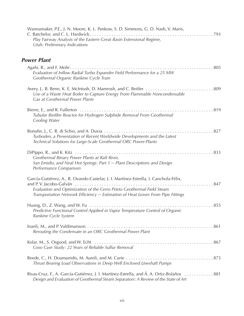| <b>Utah: Preliminary Indications</b>                                    | Wannamaker, P.E., J. N. Moore, K. L. Pankow, S. D. Simmons, G. D. Nash, V. Maris,<br>Play Fairway Analysis of the Eastern Great Basin Extensional Regime,                                                                                           |
|-------------------------------------------------------------------------|-----------------------------------------------------------------------------------------------------------------------------------------------------------------------------------------------------------------------------------------------------|
| <b>Power Plant</b>                                                      |                                                                                                                                                                                                                                                     |
| Geothermal Organic Rankine Cycle Train                                  | Evaluation of Inflow Radial Turbo Expander Field Performance for a 25 MW                                                                                                                                                                            |
| Gas at Geothermal Power Plants                                          | Use of a Waste Heat Boiler to Capture Energy From Flammable Noncondensable                                                                                                                                                                          |
| Bierre, E., and R. Fullerton<br>Cooling Water                           | Tubular Biofilm Reactor for Hydrogen Sulphide Removal From Geothermal                                                                                                                                                                               |
|                                                                         | Turboden, a Presentation of Recent Worldwide Developments and the Latest<br>Technical Solutions for Large-Scale Geothermal ORC Power-Plants                                                                                                         |
| Geothermal Binary Power Plants at Raft River,<br>Performance Comparison | San Emidio, and Neal Hot Springs: Part 1 - Plant Descriptions and Design                                                                                                                                                                            |
|                                                                         | García-Gutiérrez, A., R. Ovando-Castelar, J. I. Martínez-Estrella, I. Canchola-Félix,<br>Evaluation and Optimization of the Cerro Prieto Geothermal Field Steam<br>Transportation Network Efficiency - Estimation of Heat Losses From Pipe Fittings |
| Rankine Cycle System                                                    | . 855<br>Huang, D., Z. Wang, and W. Fu $\dots \dots \dots \dots \dots \dots \dots \dots \dots \dots \dots \dots \dots$<br>Predictive Functional Control Applied in Vapor Temperature Control of Organic                                             |
|                                                                         | Rerouting the Condensate in an ORC Geothermal Power Plant                                                                                                                                                                                           |
|                                                                         | Coso Case Study: 22 Years of Reliable Sulfur Removal                                                                                                                                                                                                |
|                                                                         | Thrust Bearing Load Observations in Deep Well Enclosed Lineshaft Pumps                                                                                                                                                                              |
|                                                                         | Rivas-Cruz, F., A. García-Gutiérrez, J. I. Martínez-Estrella, and Á. A. Ortiz-Bolaños  881<br>Design and Evaluation of Geothermal Steam Separators: A Review of the State of Art                                                                    |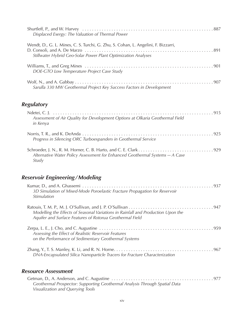| Displaced Exergy: The Valuation of Thermal Power                                                                                                   |
|----------------------------------------------------------------------------------------------------------------------------------------------------|
| Wendt, D., G. L. Mines, C. S. Turchi, G. Zhu, S. Cohan, L. Angelini, F. Bizzarri,<br>Stillwater Hybrid Geo-Solar Power Plant Optimization Analyses |
| DOE-GTO Low Temperature Project Case Study                                                                                                         |
| Sarulla 330 MW Geothermal Project Key Success Factors in Development                                                                               |

#### *Regulatory*

| Assessment of Air Quality for Development Options at Olkaria Geothermal Field<br>in Kenya |
|-------------------------------------------------------------------------------------------|
| Progress in Silencing ORC Turboexpanders in Geothermal Service                            |
| Alternative Water Policy Assessment for Enhanced Geothermal Systems - A Case<br>Study     |

#### *Reservoir Engineering/Modeling*

| 3D Simulation of Mixed-Mode Poroelastic Fracture Propagation for Reservoir<br>Stimulation                                                    |  |
|----------------------------------------------------------------------------------------------------------------------------------------------|--|
| Modelling the Effects of Seasonal Variations in Rainfall and Production Upon the<br>Aquifer and Surface Features of Rotorua Geothermal Field |  |
| Assessing the Effect of Realistic Reservoir Features<br>on the Performance of Sedimentary Geothermal Systems                                 |  |
| DNA-Encapsulated Silica Nanoparticle Tracers for Fracture Characterization                                                                   |  |

#### *Resource Assessment*

| Geothermal Prospector: Supporting Geothermal Analysis Through Spatial Data |  |
|----------------------------------------------------------------------------|--|
| Visualization and Querying Tools                                           |  |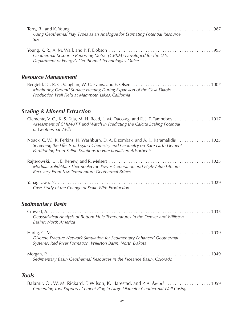| Using Geothermal Play Types as an Analogue for Estimating Potential Resource<br>Size                                                                                                                                                |  |
|-------------------------------------------------------------------------------------------------------------------------------------------------------------------------------------------------------------------------------------|--|
| Geothermal Resource Reporting Metric (GRRM) Developed for the U.S.<br>Department of Energy's Geothermal Technologies Office                                                                                                         |  |
| <b>Resource Management</b>                                                                                                                                                                                                          |  |
| Monitoring Ground-Surface Heating During Expansion of the Casa Diablo<br>Production Well Field at Mammoth Lakes, California                                                                                                         |  |
| <b>Scaling &amp; Mineral Extraction</b>                                                                                                                                                                                             |  |
| Clemente, V. C., K. S. Faja, M. H. Reed, L. M. Daco-ag, and R. J. T. Tamboboy. 1017<br>Assessment of CHIM-XPT and Watch in Predicting the Calcite Scaling Potential<br>of Geothermal Wells                                          |  |
| Noack, C. W., K. Perkins, N. Washburn, D. A. Dzombak, and A. K. Karamalidis 1023<br>Screening the Effects of Ligand Chemistry and Geometry on Rare Earth Element<br>Partitioning From Saline Solutions to Functionalized Adsorbents |  |
| Modular Solid-State Thermoelectric Power Generation and High-Value Lithium<br>Recovery From Low-Temperature Geothermal Brines                                                                                                       |  |
| Case Study of the Change of Scale With Production                                                                                                                                                                                   |  |
| <b>Sedimentary Basin</b>                                                                                                                                                                                                            |  |
| Geostatistical Analysis of Bottom-Hole Temperatures in the Denver and Williston<br><b>Basins: North America</b>                                                                                                                     |  |
| Discrete Fracture Network Simulation for Sedimentary Enhanced Geothermal<br>Systems: Red River Formation, Williston Basin, North Dakota                                                                                             |  |
| Sedimentary Basin Geothermal Resources in the Piceance Basin, Colorado                                                                                                                                                              |  |
|                                                                                                                                                                                                                                     |  |

#### *Tools*

| Balamir, O., W. M. Rickard, F. Wilson, K. Harestad, and P. A. Årebråt 1059   |  |
|------------------------------------------------------------------------------|--|
| Cementing Tool Supports Cement Plug in Large Diameter Geothermal Well Casing |  |